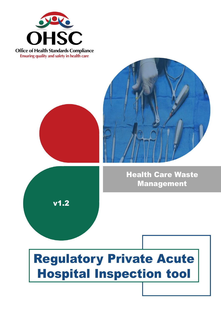

**Office of Health Standards Compliance Ensuring quality and safety in health care** 





**Health Care Waste Management** 

# **Regulatory Private Acute Hospital Inspection tool**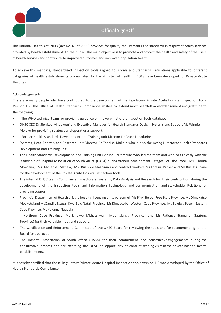## **Official Sign-Off**

The National Health Act, 2003 (Act No. 61 of 2003) provides for quality requirements and standards in respect of health services provided by health establishments to the public. The main objective is to promote and protect the health and safety of the users of health services and contribute to improved outcomes and improved population health.

To achieve this mandate, standardised inspection tools aligned to Norms and Standards Regulations applicable to different categories of health establishments promulgated by the Minister of Health in 2018 have been developed for Private Acute Hospitals.

#### **Acknowledgements**

There are many people who have contributed to the development of the Regulatory Private Acute Hospital Inspection Tools Version 1.2. The Office of Health Standards Compliance wishes to extend most heartfelt acknowledgement and gratitude to the following:

- The WHO technical team for providing guidance on the very first draft inspection tools database
- OHSC CEO Dr Siphiwe Mndaweni and Executive Manager for Health Standards Design, Systems and Support Ms Winnie Moleko for providing strategic and operational support.
- Former Health Standards Development and Training unit Director Dr Grace Labadarios
- Systems, Data Analysis and Research unit Director Dr Thabiso Makola who is also the Acting Director for Health Standards Development and Training unit
- The Health Standards Development and Training unit (Mr Jabu Nkambule who led the team and worked tirelessly with the leadership of Hospital Association of South Africa (HASA) during various development stages of the tool, Ms Florina Mokoena, Ms Mosehle Matlala, Ms Busisiwe Mashinini) and contract workers Ms Thresia Pather and Ms Busi Ngubane for the development of the Private Acute Hospital Inspection tools.
- The internal OHSC teams Compliance Inspectorate; Systems, Data Analysis and Research for their contribution during the development of the Inspection tools and Information Technology and Communication and Stakeholder Relations for providing support.
- Provincial Department of Health private hospital licensing units personnel (Ms Pinki Belot Free State Province, Ms Dimakatso Moeketsi and Ms Zandile Nzuza - Kwa-Zulu Natal-Province, Ms Kim Jacobs - Western Cape Province, Ms Bulelwa Peter - Eastern Cape Province, Ms Pakama Nqadala

- Northern Cape Province, Ms Lindiwe Mkhatshwa - Mpumalanga Province, and Ms Patience Ntamane - Gauteng Province) for their valuable input and support.

- The Certification and Enforcement Committee of the OHSC Board for reviewing the tools and for recommending to the Board for approval.
- The Hospital Association of South Africa (HASA) for their commitment and constructive engagements during the consultative process and for affording the OHSC an opportunity to conduct scoping visits in the private hospital health establishments.

It is hereby certified that these Regulatory Private Acute Hospital Inspection tools version 1.2 was developed by the Office of Health Standards Compliance.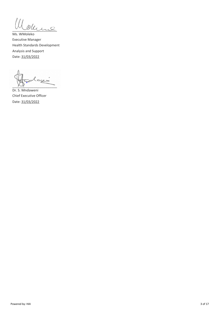Ill oderne

Ms. WMoleko Executive Manager Health Standards Development Analysis and Support Date: 31/03/2022

أدييت  $\sim$   $\sim$ 

Dr. S. Mndaweni Chief Executive Officer Date: 31/03/2022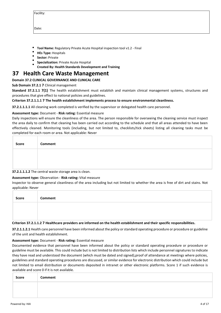| acılıt' |  |
|---------|--|
|         |  |
|         |  |

Date:

- **Tool Name:** Regulatory Private Acute Hospital inspection tool v1.2 Final
- **HEs Type:** Hospitals
- **Sector:** Private
- **Specialization:** Private Acute Hospital
- **Created By: Health Standards Development and Training**

## **37 Health Care Waste Management**

#### **Domain 37.2 CLINICAL GOVERNANCE AND CLINICAL CARE**

#### **Sub Domain 37.2.1 7** Clinical management

**Standard 37.2.1.1 7(1)** The health establishment must establish and maintain clinical management systems, structures and procedures that give effect to national policies and guidelines.

#### **Criterion 37.2.1.1.1 7 The health establishment implements process to ensure environmental cleanliness.**

**37.2.1.1.1.1** All cleaning work completed is verified by the supervisor or delegated health care personnel.

#### **Assessment type:** Document - **Risk rating:** Essential measure

Daily inspections will ensure the cleanliness of the area. The person responsible for overseeing the cleaning service must inspect the area daily to confirm that cleaning has been carried out according to the schedule and that all areas attended to have been effectively cleaned. Monitoring tools (including, but not limited to, checklists/tick sheets) listing all cleaning tasks must be completed for each room or area. Not applicable: Never

| Score | Comment |
|-------|---------|
|       |         |
|       |         |

#### **37.2.1.1.1.2** The central waste storage area is clean.

#### **Assessment type:** Observation - **Risk rating:** Vital measure

Inspector to observe general cleanliness of the area including but not limited to whether the area is free of dirt and stains. Not applicable: Never

| Score | <b>Comment</b>                                                                                                           |
|-------|--------------------------------------------------------------------------------------------------------------------------|
|       |                                                                                                                          |
|       | Critorian 27.2.1.1.2.7 Hoalthcare providers are informed on the hoalth ostablishment and their specific responsibilities |

#### **Criterion 37.2.1.1.2 7 Healthcare providers are informed on the health establishment and their specific responsibilities.**

**37.2.1.1.2.1** Health care personnel have been informed about the policy or standard operating procedure or procedure or guideline of the unit and health establishment.

#### **Assessment type:** Document - **Risk rating:** Essential measure

Documented evidence that personnel have been informed about the policy or standard operating procedure or procedure or guideline must be available. This could include but is not limited to distribution lists which include personnel signatures to indicate they have read and understood the document (which must be dated and signed),proof of attendance at meetings where policies, guidelines and standard operating procedures are discussed, or similar evidence for electronic distribution which could include but not limited to email distribution or documents deposited in intranet or other electronic platforms. Score 1 if such evidence is available and score 0 if it is not available.

| Score | Comment |  |  |  |  |
|-------|---------|--|--|--|--|
|       |         |  |  |  |  |
|       |         |  |  |  |  |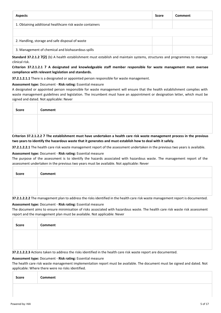| <b>Aspects</b>                                           | Score | Comment |
|----------------------------------------------------------|-------|---------|
| 1. Obtaining additional healthcare risk waste containers |       |         |
|                                                          |       |         |
| 2. Handling, storage and safe disposal of waste          |       |         |
| 3. Management of chemical and biohazardous spills        |       |         |

**Standard 37.2.1.2 7(2)** (b) A health establishment must establish and maintain systems, structures and programmes to manage clinical risk.

#### **Criterion 37.2.1.2.1 7 A designated and knowledgeable staff member responsible for waste management must oversee compliance with relevant legislation and standards.**

**37.2.1.2.1.1** There is a designated or appointed person responsible for waste management.

#### **Assessment type:** Document - **Risk rating:** Essential measure

A designated or appointed person responsible for waste management will ensure that the health establishment complies with waste management guidelines and legislation. The incumbent must have an appointment or designation letter, which must be signed and dated. Not applicable: Never

| Score | Comment |
|-------|---------|
|       |         |
|       |         |

**Criterion 37.2.1.2.2 7 The establishment must have undertaken a health care risk waste management process in the previous two years to identify the hazardous waste that it generates and must establish how to deal with it safely.**

**37.2.1.2.2.1** The health care risk waste management report of the assessment undertaken in the previous two years is available.

#### **Assessment type:** Document - **Risk rating:** Essential measure

The purpose of the assessment is to identify the hazards associated with hazardous waste. The management report of the assessment undertaken in the previous two years must be available. Not applicable: Never

| <b>Score</b> | Comment |
|--------------|---------|
|              |         |
|              |         |

**37.2.1.2.2.2** The management plan to address the risks identified in the health care risk waste management report is documented.

#### **Assessment type:** Document - **Risk rating:** Essential measure

The document aims to ensure minimisation of risks associated with hazardous waste. The health care risk waste risk assessment report and the management plan must be available. Not applicable: Never

| <b>Score</b> | Comment |
|--------------|---------|
|              |         |
|              |         |

**37.2.1.2.2.3** Actions taken to address the risks identified in the health care risk waste report are documented.

#### **Assessment type:** Document - **Risk rating:** Essential measure

The health care risk waste management implementation report must be available. The document must be signed and dated. Not applicable: Where there were no risks identified.

| <b>Score</b> | <b>Comment</b> |
|--------------|----------------|
|              |                |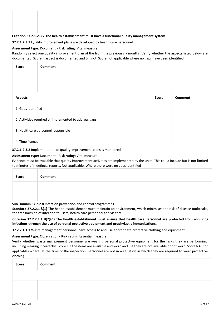#### **Criterion 37.2.1.2.3 7 The health establishment must have a functional quality management system**

**37.2.1.2.3.1** Quality improvement plans are developed by health care personnel.

#### **Assessment type:** Document - **Risk rating:** Vital measure

Randomly select one quality improvement plan of the from the previous six months. Verify whether the aspects listed below are documented. Score if aspect is documented and 0 if not. Score not applicable where no gaps have been identified

| <b>Score</b>                                          | <b>Comment</b>     |              |                |
|-------------------------------------------------------|--------------------|--------------|----------------|
|                                                       |                    |              |                |
|                                                       |                    |              |                |
| <b>Aspects</b>                                        |                    | <b>Score</b> | <b>Comment</b> |
|                                                       | 1. Gaps identified |              |                |
| 2. Activities required or implemented to address gaps |                    |              |                |
| 3. Healthcare personnel responsible                   |                    |              |                |
|                                                       | 4. Time frames     |              |                |

**37.2.1.2.3.2** Implementation of quality improvement plans is monitored.

#### **Assessment type:** Document - **Risk rating:** Vital measure

Evidence must be available that quality improvement activities are implemented by the units. This could include but is not limited to minutes of meetings, reports. Not applicable: Where there were no gaps identified

| Score | Comment |
|-------|---------|
|       |         |
|       |         |

**Sub Domain 37.2.2 8** Infection prevention and control programmes

**Standard 37.2.2.1 8(1)** The health establishment must maintain an environment, which minimises the risk of disease outbreaks, the transmission of infection to users, health care personnel and visitors.

**Criterion 37.2.2.1.1 8(2)(d) The health establishment must ensure that health care personnel are protected from acquiring infections through the use of personal protective equipment and prophylactic immunisations.**

**37.2.2.1.1.1** Waste management personnel have access to and use appropriate protective clothing and equipment.

#### **Assessment type:** Observation - **Risk rating:** Essential measure

Verify whether waste management personnel are wearing personal protective equipment for the tasks they are performing, including wearing it correctly. Score 1 if the items are available and worn and 0 if they are not available or not worn. Score NA (not applicable) where, at the time of the inspection, personnel are not in a situation in which they are required to wear protective clothing.

| <b>Score</b> | Comment |
|--------------|---------|
|              |         |
|              |         |
|              |         |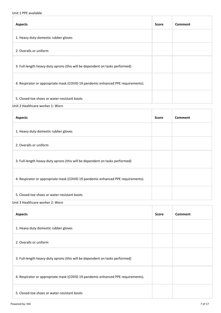## Unit 1 PPE available

| <b>Aspects</b>                                                                   | <b>Score</b> | Comment |
|----------------------------------------------------------------------------------|--------------|---------|
| 1. Heavy duty domestic rubber gloves                                             |              |         |
| 2. Overalls or uniform                                                           |              |         |
| 3. Full-length heavy-duty aprons (this will be dependent on tasks performed)     |              |         |
| 4. Respirator or appropriate mask (COVID 19 pandemic enhanced PPE requirements). |              |         |
| 5. Closed-toe shoes or water-resistant boots                                     |              |         |

#### Unit 2 Healthcare worker 1: Worn

| <b>Aspects</b>                                                                   | <b>Score</b> | Comment |
|----------------------------------------------------------------------------------|--------------|---------|
| 1. Heavy duty domestic rubber gloves                                             |              |         |
| 2. Overalls or uniform                                                           |              |         |
| 3. Full-length heavy-duty aprons (this will be dependent on tasks performed)     |              |         |
| 4. Respirator or appropriate mask (COVID 19 pandemic enhanced PPE requirements). |              |         |
| 5. Closed-toe shoes or water-resistant boots                                     |              |         |

Unit 3 Healthcare worker 2: Worn

| <b>Aspects</b>                                                                   | <b>Score</b> | Comment |
|----------------------------------------------------------------------------------|--------------|---------|
| 1. Heavy duty domestic rubber gloves                                             |              |         |
| 2. Overalls or uniform                                                           |              |         |
| 3. Full-length heavy-duty aprons (this will be dependent on tasks performed)     |              |         |
| 4. Respirator or appropriate mask (COVID 19 pandemic enhanced PPE requirements). |              |         |
| 5. Closed-toe shoes or water-resistant boots                                     |              |         |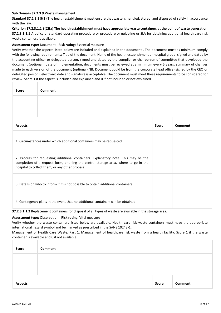#### **Sub Domain 37.2.3 9** Waste management

**Standard 37.2.3.1 9(1)** The health establishment must ensure that waste is handled, stored, and disposed of safely in accordance with the law.

**Criterion 37.2.3.1.1 9(2)(a) The health establishment must have appropriate waste containers at the point of waste generation. 37.2.3.1.1.1** A policy or standard operating procedure or procedure or guideline or SLA for obtaining additional health care risk waste containers is available.

#### **Assessment type:** Document - **Risk rating:** Essential measure

Verify whether the aspects listed below are included and explained in the document . The document must as minimum comply with the following requirements: Title of the document, Name of the health establishment or hospital group, signed and dated by the accounting officer or delegated person, signed and dated by the compiler or chairperson of committee that developed the document (optional), date of implementation, documents must be reviewed at a minimum every 5 years, summary of changes made to each version of the document (optional).NB: Document could be from the corporate head office (signed by the CEO or delegated person), electronic date and signature is acceptable. The document must meet these requirements to be considered for review. Score 1 if the aspect is included and explained and 0 if not included or not explained.

| <b>Score</b>                                                                                                                                                                                                               | Comment                                                             |  |  |  |
|----------------------------------------------------------------------------------------------------------------------------------------------------------------------------------------------------------------------------|---------------------------------------------------------------------|--|--|--|
|                                                                                                                                                                                                                            |                                                                     |  |  |  |
| <b>Aspects</b>                                                                                                                                                                                                             | Comment<br><b>Score</b>                                             |  |  |  |
|                                                                                                                                                                                                                            | 1. Circumstances under which additional containers may be requested |  |  |  |
| 2. Process for requesting additional containers. Explanatory note: This may be the<br>completion of a request form, phoning the central storage area, where to go in the<br>hospital to collect them, or any other process |                                                                     |  |  |  |
| 3. Details on who to inform if it is not possible to obtain additional containers                                                                                                                                          |                                                                     |  |  |  |
| 4. Contingency plans in the event that no additional containers can be obtained                                                                                                                                            |                                                                     |  |  |  |

**37.2.3.1.1.2** Replacement containers for disposal of all types of waste are available in the storage area.

#### **Assessment type:** Observation - **Risk rating:** Vital measure

Verify whether the waste containers listed below are available. Health care risk waste containers must have the appropriate international hazard symbol and be marked as prescribed in the SANS 10248-1:

Management of Health Care Waste, Part 1: Management of healthcare risk waste from a health facility. Score 1 if the waste container is available and 0 if not available.

| <b>Score</b>   | <b>Comment</b> |       |         |
|----------------|----------------|-------|---------|
|                |                |       |         |
|                |                |       |         |
| <b>Aspects</b> |                | Score | Comment |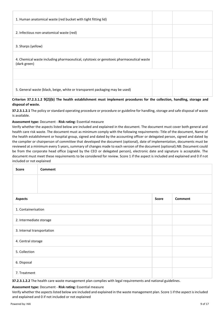| 1. Human anatomical waste (red bucket with tight fitting lid)                                                             |  |  |
|---------------------------------------------------------------------------------------------------------------------------|--|--|
| 2. Infectious non-anatomical waste (red)                                                                                  |  |  |
| 3. Sharps (yellow)                                                                                                        |  |  |
| 4. Chemical waste including pharmaceutical, cytotoxic or genotoxic pharmaceutical waste<br>(dark green)                   |  |  |
|                                                                                                                           |  |  |
| 5. General waste (black, beige, white or transparent packaging may be used)                                               |  |  |
| Critarian 37.3.2.1.3.0(3)(h) The health establishment must implement presedures for the collection, handling, stereon and |  |  |

#### **Criterion 37.2.3.1.2 9(2)(b) The health establishment must implement procedures for the collection, handling, storage and disposal of waste.**

**37.2.3.1.2.1** The policy or standard operating procedure or procedure or guideline for handling, storage and safe disposal of waste is available.

#### **Assessment type:** Document - **Risk rating:** Essential measure

Verify whether the aspects listed below are included and explained in the document. The document must cover both general and health care risk waste. The document must as minimum comply with the following requirements: Title of the document, Name of the health establishment or hospital group, signed and dated by the accounting officer or delegated person, signed and dated by the compiler or chairperson of committee that developed the document (optional), date of implementation, documents must be reviewed at a minimum every 5 years, summary of changes made to each version of the document (optional).NB: Document could be from the corporate head office (signed by the CEO or delegated person), electronic date and signature is acceptable. The document must meet these requirements to be considered for review. Score 1 if the aspect is included and explained and 0 if not included or not explained

| <b>Score</b>               | <b>Comment</b>                 |  |  |  |  |
|----------------------------|--------------------------------|--|--|--|--|
|                            |                                |  |  |  |  |
| <b>Aspects</b>             | <b>Comment</b><br><b>Score</b> |  |  |  |  |
|                            | 1. Containerisation            |  |  |  |  |
| 2. Intermediate storage    |                                |  |  |  |  |
| 3. Internal transportation |                                |  |  |  |  |
| 4. Central storage         |                                |  |  |  |  |
| 5. Collection              |                                |  |  |  |  |
| 6. Disposal                |                                |  |  |  |  |
| 7. Treatment               |                                |  |  |  |  |

**37.2.3.1.2.2** The health care waste management plan complies with legal requirements and national guidelines.

#### **Assessment type:** Document - **Risk rating:** Essential measure

Verify whether the aspects listed below are included and explained in the waste management plan. Score 1 if the aspect is included and explained and 0 if not included or not explained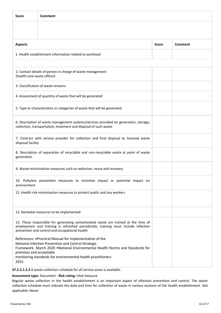| <b>Score</b>                                                                                                                                                                                                                                                                                       | Comment                                                                                                                                                  |              |         |  |  |
|----------------------------------------------------------------------------------------------------------------------------------------------------------------------------------------------------------------------------------------------------------------------------------------------------|----------------------------------------------------------------------------------------------------------------------------------------------------------|--------------|---------|--|--|
|                                                                                                                                                                                                                                                                                                    |                                                                                                                                                          |              |         |  |  |
| <b>Aspects</b>                                                                                                                                                                                                                                                                                     |                                                                                                                                                          | <b>Score</b> | Comment |  |  |
|                                                                                                                                                                                                                                                                                                    | 1. Health establishment information related to workload                                                                                                  |              |         |  |  |
|                                                                                                                                                                                                                                                                                                    |                                                                                                                                                          |              |         |  |  |
| (health care waste officer)                                                                                                                                                                                                                                                                        | 2. Contact details of person in charge of waste management                                                                                               |              |         |  |  |
|                                                                                                                                                                                                                                                                                                    | 3. Classification of waste streams                                                                                                                       |              |         |  |  |
|                                                                                                                                                                                                                                                                                                    | 4. Assessment of quantity of waste that will be generated                                                                                                |              |         |  |  |
|                                                                                                                                                                                                                                                                                                    | 5. Type or characteristics or categories of waste that will be generated                                                                                 |              |         |  |  |
|                                                                                                                                                                                                                                                                                                    | 6. Description of waste management systems/services provided on generation, storage,<br>collection, transportation, treatment and disposal of such waste |              |         |  |  |
| disposal facility                                                                                                                                                                                                                                                                                  | 7. Contract with service provider for collection and final disposal to licensed waste                                                                    |              |         |  |  |
| 8. Description of separation of recyclable and non-recyclable waste at point of waste<br>generation                                                                                                                                                                                                |                                                                                                                                                          |              |         |  |  |
| 9. Waste minimisation measures such as reduction, reuse and recovery                                                                                                                                                                                                                               |                                                                                                                                                          |              |         |  |  |
| 10. Pollution prevention measures to minimise impact or potential impact on<br>environment                                                                                                                                                                                                         |                                                                                                                                                          |              |         |  |  |
|                                                                                                                                                                                                                                                                                                    | 11. Health risk minimisation measures to protect public and any workers                                                                                  |              |         |  |  |
|                                                                                                                                                                                                                                                                                                    | 12. Remedial measures to be implemented                                                                                                                  |              |         |  |  |
| 13. Those responsible for generating contaminated waste are trained at the time of<br>employment and training is refreshed periodically; training must include infection<br>prevention and control and occupational health                                                                         |                                                                                                                                                          |              |         |  |  |
| References: . Practical Manual for Implementation of the<br>National Infection Prevention and Control Strategic<br>Framework. March 2020 . National Environmental Health Norms and Standards for<br>premises and acceptable<br>monitoring standards for environmental health practitioners<br>2015 |                                                                                                                                                          |              |         |  |  |
|                                                                                                                                                                                                                                                                                                    |                                                                                                                                                          |              |         |  |  |

**37.2.3.1.2.3** A waste collection schedule for all service areas is available.

#### **Assessment type:** Document - **Risk rating:** Vital measure

Regular waste collection in the health establishment is an important aspect of infection prevention and control. The waste collection schedule must indicate the date and time for collection of waste in various sections of the health establishment. Not applicable: Never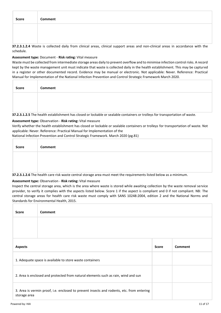| Score | Comment |
|-------|---------|
|       |         |
|       |         |

**37.2.3.1.2.4** Waste is collected daily from clinical areas, clinical support areas and non-clinical areas in accordance with the schedule.

#### **Assessment type:** Document - **Risk rating:** Vital measure

Waste must be collected from intermediate storage areas daily to prevent overflow and to minimise infection control risks. A record kept by the waste management unit must indicate that waste is collected daily in the health establishment. This may be captured in a register or other documented record. Evidence may be manual or electronic. Not applicable: Never. Reference: Practical Manual for Implementation of the National Infection Prevention and Control Strategic Framework March 2020.

| <b>Score</b> | Comment |
|--------------|---------|
|              |         |
|              |         |

**37.2.3.1.2.5** The health establishment has closed or lockable or sealable containers or trolleys for transportation of waste.

#### **Assessment type:** Observation - **Risk rating:** Vital measure

Verify whether the health establishment has closed or lockable or sealable containers or trolleys for transportation of waste. Not applicable: Never. Reference: Practical Manual for Implementation of the

National Infection Prevention and Control Strategic Framework. March 2020 (pg.81)

| <b>Score</b> | <b>Comment</b>                                                                                                     |
|--------------|--------------------------------------------------------------------------------------------------------------------|
|              |                                                                                                                    |
|              |                                                                                                                    |
|              | 37.2.3.1.2.6 The health care risk waste central storage area must meet the requirements listed below as a minimum. |

# **Assessment type:** Observation - **Risk rating:** Vital measure

Inspect the central storage area, which is the area where waste is stored while awaiting collection by the waste removal service provider, to verify it complies with the aspects listed below. Score 1 if the aspect is compliant and 0 if not compliant. NB: The central storage areas for health care risk waste must comply with SANS 10248:2004, edition 2 and the National Norms and Standards for Environmental Health, 2015.

| <b>Score</b>                                                                                              | <b>Comment</b>          |  |  |  |
|-----------------------------------------------------------------------------------------------------------|-------------------------|--|--|--|
|                                                                                                           |                         |  |  |  |
|                                                                                                           |                         |  |  |  |
| <b>Aspects</b>                                                                                            | Comment<br><b>Score</b> |  |  |  |
| 1. Adequate space is available to store waste containers                                                  |                         |  |  |  |
| 2. Area is enclosed and protected from natural elements such as rain, wind and sun                        |                         |  |  |  |
| 3. Area is vermin proof, i.e. enclosed to prevent insects and rodents, etc. from entering<br>storage area |                         |  |  |  |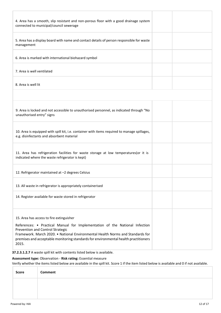| 4. Area has a smooth, slip resistant and non-porous floor with a good drainage system<br>connected to municipal/council sewerage                                                                                                                                                                                                              |  |
|-----------------------------------------------------------------------------------------------------------------------------------------------------------------------------------------------------------------------------------------------------------------------------------------------------------------------------------------------|--|
| 5. Area has a display board with name and contact details of person responsible for waste<br>management                                                                                                                                                                                                                                       |  |
| 6. Area is marked with international biohazard symbol                                                                                                                                                                                                                                                                                         |  |
| 7. Area is well ventilated                                                                                                                                                                                                                                                                                                                    |  |
| 8. Area is well lit                                                                                                                                                                                                                                                                                                                           |  |
|                                                                                                                                                                                                                                                                                                                                               |  |
| 9. Area is locked and not accessible to unauthorised personnel, as indicated through "No<br>unauthorised entry" signs                                                                                                                                                                                                                         |  |
| 10. Area is equipped with spill kit, i.e. container with items required to manage spillages,<br>e.g. disinfectants and absorbent material                                                                                                                                                                                                     |  |
| 11. Area has refrigeration facilities for waste storage at low temperatures(or it is<br>indicated where the waste refrigerator is kept)                                                                                                                                                                                                       |  |
| 12. Refrigerator maintained at -2 degrees Celsius                                                                                                                                                                                                                                                                                             |  |
| 13. All waste in refrigerator is appropriately containerised                                                                                                                                                                                                                                                                                  |  |
| 14. Register available for waste stored in refrigerator                                                                                                                                                                                                                                                                                       |  |
| 15. Area has access to fire extinguisher<br>References: • Practical Manual for Implementation of the National Infection<br>Prevention and Control Strategic<br>Framework. March 2020. • National Environmental Health Norms and Standards for<br>premises and acceptable monitoring standards for environmental health practitioners<br>2015. |  |

**37.2.3.1.2.7** A waste spill kit with contents listed below is available.

### **Assessment type:** Observation - **Risk rating:** Essential measure

Verify whether the items listed below are available in the spill kit. Score 1 if the item listed below is available and 0 if not available.

| Score | Comment |
|-------|---------|
|       |         |
|       |         |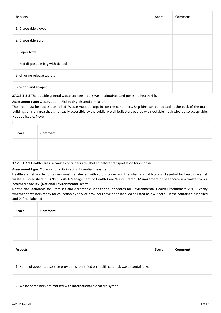| <b>Aspects</b>                      | <b>Score</b> | <b>Comment</b> |
|-------------------------------------|--------------|----------------|
| 1. Disposable gloves                |              |                |
| 2. Disposable apron                 |              |                |
| 3. Paper towel                      |              |                |
| 4. Red disposable bag with tie lock |              |                |
| 5. Chlorine release tablets         |              |                |
| 6. Scoop and scraper                |              |                |

**37.2.3.1.2.8** The outside general waste storage area is well maintained and poses no health risk.

#### **Assessment type:** Observation - **Risk rating:** Essential measure

The area must be access-controlled. Waste must be kept inside the containers. Skip bins can be located at the back of the main buildings or in an area that is not easily accessible by the public. A well-built storage area with lockable mesh wire is also acceptable. Not applicable: Never

| <b>Score</b> | Comment |
|--------------|---------|
|              |         |
|              |         |
| $- - -$      |         |

**37.2.3.1.2.9** Health care risk waste containers are labelled before transportation for disposal.

#### **Assessment type:** Observation - **Risk rating:** Essential measure

Healthcare risk waste containers must be labelled with colour codes and the international biohazard symbol for health care risk waste as prescribed in SANS 10248-1-Management of Health Care Waste, Part 1: Management of healthcare risk waste from a healthcare facility. (National Environmental Health

Norms and Standards for Premises and Acceptable Monitoring Standards for Environmental Health Practitioners 2015). Verify whether containers ready for collection by service providers have been labelled as listed below. Score 1 if the container is labelled and 0 if not labelled

| <b>Score</b>   | <b>Comment</b>                                                                            |              |                |
|----------------|-------------------------------------------------------------------------------------------|--------------|----------------|
|                |                                                                                           |              |                |
|                |                                                                                           |              |                |
| <b>Aspects</b> |                                                                                           | <b>Score</b> | <b>Comment</b> |
|                | 1. Name of appointed service provider is identified on health care risk waste container/s |              |                |
|                | 2. Waste containers are marked with international biohazard symbol                        |              |                |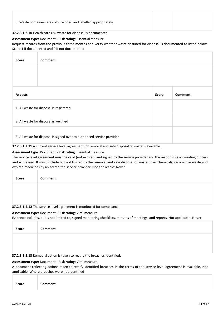#### **37.2.3.1.2.10** Health care risk waste for disposal is documented.

#### **Assessment type:** Document - **Risk rating:** Essential measure

Request records from the previous three months and verify whether waste destined for disposal is documented as listed below. Score 1 if documented and 0 if not documented.

| <b>Score</b>                            | Comment                                                                 |              |         |  |  |
|-----------------------------------------|-------------------------------------------------------------------------|--------------|---------|--|--|
|                                         |                                                                         |              |         |  |  |
|                                         |                                                                         |              |         |  |  |
| <b>Aspects</b>                          |                                                                         | <b>Score</b> | Comment |  |  |
| 1. All waste for disposal is registered |                                                                         |              |         |  |  |
|                                         | 2. All waste for disposal is weighed                                    |              |         |  |  |
|                                         | 3. All waste for disposal is signed over to authorised service provider |              |         |  |  |

**37.2.3.1.2.11** A current service level agreement for removal and safe disposal of waste is available.

#### **Assessment type:** Document - **Risk rating:** Essential measure

The service level agreement must be valid (not expired) and signed by the service provider and the responsible accounting officers and witnessed. It must include but not limited to the removal and safe disposal of waste, toxic chemicals, radioactive waste and expired medicines by an accredited service provider. Not applicable: Never

| Score | Comment                                                                                                                                                                                                                                                               |
|-------|-----------------------------------------------------------------------------------------------------------------------------------------------------------------------------------------------------------------------------------------------------------------------|
|       |                                                                                                                                                                                                                                                                       |
|       | $\mathbf{a} = \mathbf{a} \cdot \mathbf{a} + \mathbf{a} \cdot \mathbf{a} + \mathbf{b}$ , and the contract of the contract of the contract of the contract of the contract of the contract of the contract of the contract of the contract of the contract of the contr |

**37.2.3.1.2.12** The service level agreement is monitored for compliance.

#### **Assessment type:** Document - **Risk rating:** Vital measure

Evidence includes, but is not limited to, signed monitoring checklists, minutes of meetings, and reports. Not applicable: Never

| Score | <b>Comment</b>                                                            |
|-------|---------------------------------------------------------------------------|
|       |                                                                           |
|       |                                                                           |
|       | 37 2 3 1 2 13 Remedial action is taken to rectify the breaches identified |

**37.2.3.1.2.13** Remedial action is taken to rectify the breaches identified.

#### **Assessment type:** Document - **Risk rating:** Vital measure

A document reflecting actions taken to rectify identified breaches in the terms of the service level agreement is available. Not applicable: Where breaches were not identified

| <b>Score</b> | <b>Comment</b> |  |  |
|--------------|----------------|--|--|
|              |                |  |  |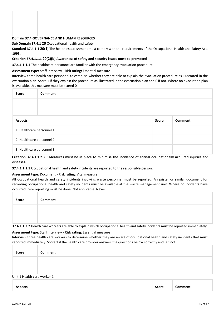#### **Domain 37.4 GOVERNANCE AND HUMAN RESOURCES**

**Sub Domain 37.4.1 20** Occupational health and safety

**Standard 37.4.1.1 20(1)** The health establishment must comply with the requirements of the Occupational Health and Safety Act, 1993.

#### **Criterion 37.4.1.1.1 20(2)(b) Awareness of safety and security issues must be promoted**

**37.4.1.1.1.1** The healthcare personnel are familiar with the emergency evacuation procedure.

#### **Assessment type:** Staff interview - **Risk rating:** Essential measure

Interview three health care personnel to establish whether they are able to explain the evacuation procedure as illustrated in the evacuation plan. Score 1 if they explain the procedure as illustrated in the evacuation plan and 0 if not. Where no evacuation plan is available, this measure must be scored 0.

| <b>Score</b>              | <b>Comment</b> |              |         |  |  |  |
|---------------------------|----------------|--------------|---------|--|--|--|
|                           |                |              |         |  |  |  |
|                           |                |              |         |  |  |  |
| <b>Aspects</b>            |                | <b>Score</b> | Comment |  |  |  |
| 1. Healthcare personnel 1 |                |              |         |  |  |  |
| 2. Healthcare personnel 2 |                |              |         |  |  |  |
| 3. Healthcare personnel 3 |                |              |         |  |  |  |

#### **Criterion 37.4.1.1.2 20 Measures must be in place to minimise the incidence of critical occupationally acquired injuries and diseases.**

**37.4.1.1.2.1** Occupational health and safety incidents are reported to the responsible person.

#### **Assessment type:** Document - **Risk rating:** Vital measure

All occupational health and safety incidents involving waste personnel must be reported. A register or similar document for recording occupational health and safety incidents must be available at the waste management unit. Where no incidents have occurred, zero reporting must be done. Not applicable: Never

| <b>Score</b> | Comment |  |  |  |  |  |  |
|--------------|---------|--|--|--|--|--|--|
|              |         |  |  |  |  |  |  |
|              |         |  |  |  |  |  |  |

**37.4.1.1.2.2** Health care workers are able to explain which occupational health and safety incidents must be reported immediately.

#### **Assessment type:** Staff interview - **Risk rating:** Essential measure

Interview three health care workers to determine whether they are aware of occupational health and safety incidents that must reported immediately. Score 1 if the health care provider answers the questions below correctly and 0 if not.

| <b>Score</b>                | Comment |  |  |
|-----------------------------|---------|--|--|
|                             |         |  |  |
|                             |         |  |  |
| Unit 1 Health care worker 1 |         |  |  |
|                             |         |  |  |

| <b>Aspects</b> | Score | omment |  |
|----------------|-------|--------|--|
|                |       |        |  |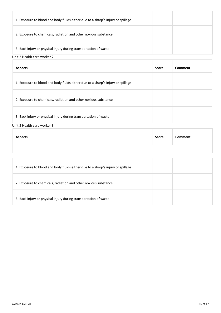| 1. Exposure to blood and body fluids either due to a sharp's injury or spillage |  |
|---------------------------------------------------------------------------------|--|
| 2. Exposure to chemicals, radiation and other noxious substance                 |  |
| 3. Back injury or physical injury during transportation of waste                |  |

#### Unit 2 Health care worker 2

| <b>Aspects</b>                                                                  | <b>Score</b> | Comment |
|---------------------------------------------------------------------------------|--------------|---------|
| 1. Exposure to blood and body fluids either due to a sharp's injury or spillage |              |         |
| 2. Exposure to chemicals, radiation and other noxious substance                 |              |         |
| 3. Back injury or physical injury during transportation of waste                |              |         |

Unit 3 Health care worker 3

| Score<br>Comment<br><b>Aspects</b> |  |
|------------------------------------|--|
|                                    |  |

| 1. Exposure to blood and body fluids either due to a sharp's injury or spillage |  |
|---------------------------------------------------------------------------------|--|
| 2. Exposure to chemicals, radiation and other noxious substance                 |  |
| 3. Back injury or physical injury during transportation of waste                |  |